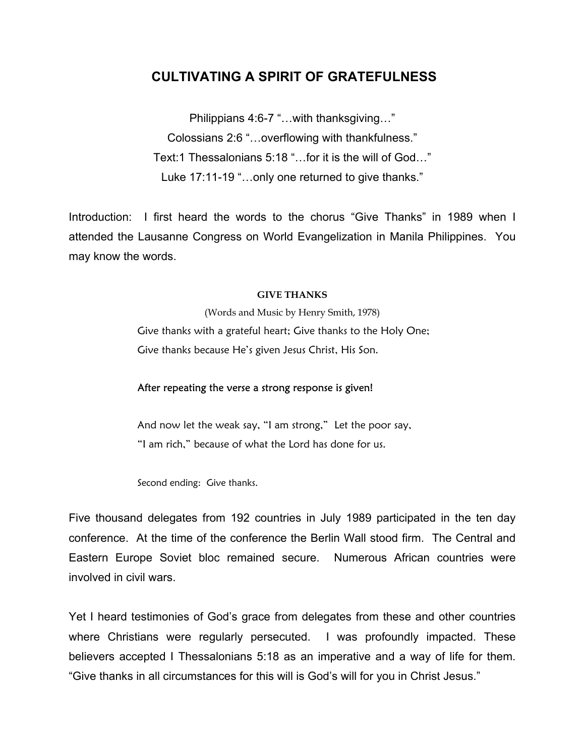## **CULTIVATING A SPIRIT OF GRATEFULNESS**

Philippians 4:6-7 "…with thanksgiving…" Colossians 2:6 "…overflowing with thankfulness." Text:1 Thessalonians 5:18 "…for it is the will of God…" Luke 17:11-19 "...only one returned to give thanks."

Introduction: I first heard the words to the chorus "Give Thanks" in 1989 when I attended the Lausanne Congress on World Evangelization in Manila Philippines. You may know the words.

#### **GIVE THANKS**

(Words and Music by Henry Smith, 1978) Give thanks with a grateful heart; Give thanks to the Holy One; Give thanks because He's given Jesus Christ, His Son.

#### After repeating the verse a strong response is given!

And now let the weak say, "I am strong," Let the poor say, "I am rich," because of what the Lord has done for us.

Second ending: Give thanks.

Five thousand delegates from 192 countries in July 1989 participated in the ten day conference. At the time of the conference the Berlin Wall stood firm. The Central and Eastern Europe Soviet bloc remained secure. Numerous African countries were involved in civil wars.

Yet I heard testimonies of God's grace from delegates from these and other countries where Christians were regularly persecuted. I was profoundly impacted. These believers accepted I Thessalonians 5:18 as an imperative and a way of life for them. "Give thanks in all circumstances for this will is God's will for you in Christ Jesus."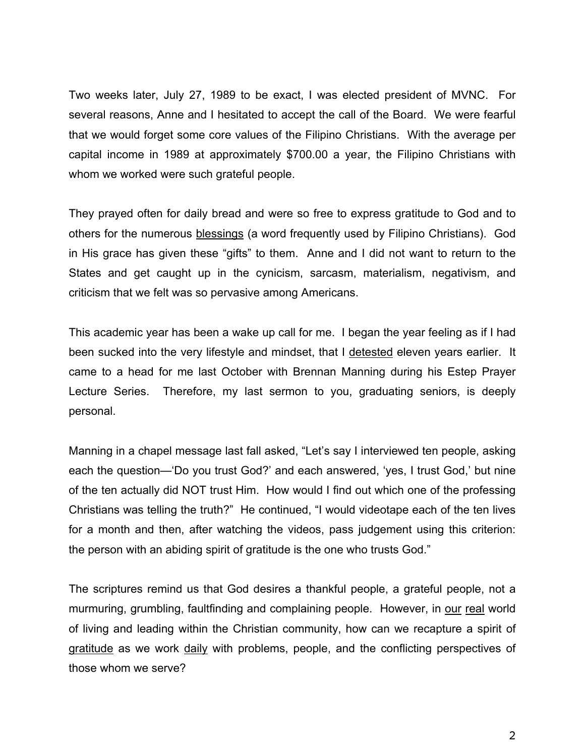Two weeks later, July 27, 1989 to be exact, I was elected president of MVNC. For several reasons, Anne and I hesitated to accept the call of the Board. We were fearful that we would forget some core values of the Filipino Christians. With the average per capital income in 1989 at approximately \$700.00 a year, the Filipino Christians with whom we worked were such grateful people.

They prayed often for daily bread and were so free to express gratitude to God and to others for the numerous blessings (a word frequently used by Filipino Christians). God in His grace has given these "gifts" to them. Anne and I did not want to return to the States and get caught up in the cynicism, sarcasm, materialism, negativism, and criticism that we felt was so pervasive among Americans.

This academic year has been a wake up call for me. I began the year feeling as if I had been sucked into the very lifestyle and mindset, that I detested eleven years earlier. It came to a head for me last October with Brennan Manning during his Estep Prayer Lecture Series. Therefore, my last sermon to you, graduating seniors, is deeply personal.

Manning in a chapel message last fall asked, "Let's say I interviewed ten people, asking each the question—'Do you trust God?' and each answered, 'yes, I trust God,' but nine of the ten actually did NOT trust Him. How would I find out which one of the professing Christians was telling the truth?" He continued, "I would videotape each of the ten lives for a month and then, after watching the videos, pass judgement using this criterion: the person with an abiding spirit of gratitude is the one who trusts God."

The scriptures remind us that God desires a thankful people, a grateful people, not a murmuring, grumbling, faultfinding and complaining people. However, in our real world of living and leading within the Christian community, how can we recapture a spirit of gratitude as we work daily with problems, people, and the conflicting perspectives of those whom we serve?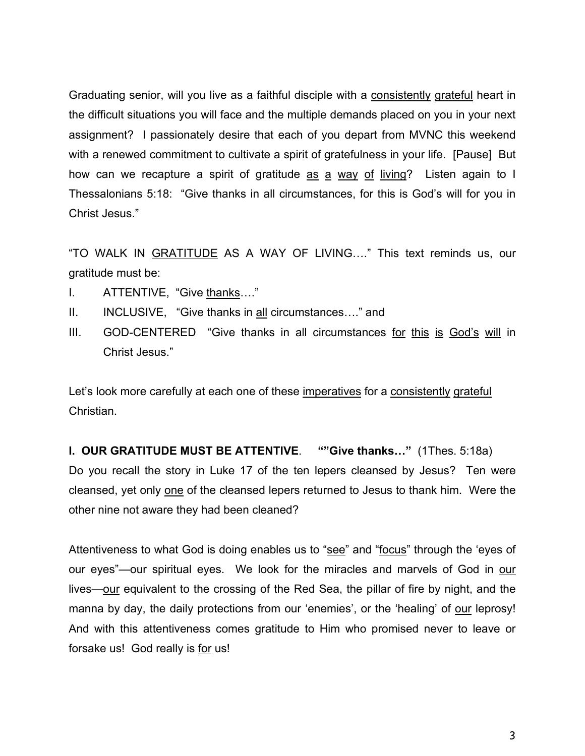Graduating senior, will you live as a faithful disciple with a consistently grateful heart in the difficult situations you will face and the multiple demands placed on you in your next assignment? I passionately desire that each of you depart from MVNC this weekend with a renewed commitment to cultivate a spirit of gratefulness in your life. [Pause] But how can we recapture a spirit of gratitude as a way of living? Listen again to I Thessalonians 5:18: "Give thanks in all circumstances, for this is God's will for you in Christ Jesus."

"TO WALK IN GRATITUDE AS A WAY OF LIVING…." This text reminds us, our gratitude must be:

- I. ATTENTIVE, "Give thanks…."
- II. INCLUSIVE, "Give thanks in all circumstances…." and
- III. GOD-CENTERED "Give thanks in all circumstances for this is God's will in Christ Jesus."

Let's look more carefully at each one of these imperatives for a consistently grateful Christian.

**I. OUR GRATITUDE MUST BE ATTENTIVE**. **""Give thanks…"** (1Thes. 5:18a) Do you recall the story in Luke 17 of the ten lepers cleansed by Jesus? Ten were cleansed, yet only one of the cleansed lepers returned to Jesus to thank him. Were the other nine not aware they had been cleaned?

Attentiveness to what God is doing enables us to "see" and "focus" through the 'eyes of our eyes"—our spiritual eyes. We look for the miracles and marvels of God in our lives—our equivalent to the crossing of the Red Sea, the pillar of fire by night, and the manna by day, the daily protections from our 'enemies', or the 'healing' of our leprosy! And with this attentiveness comes gratitude to Him who promised never to leave or forsake us! God really is for us!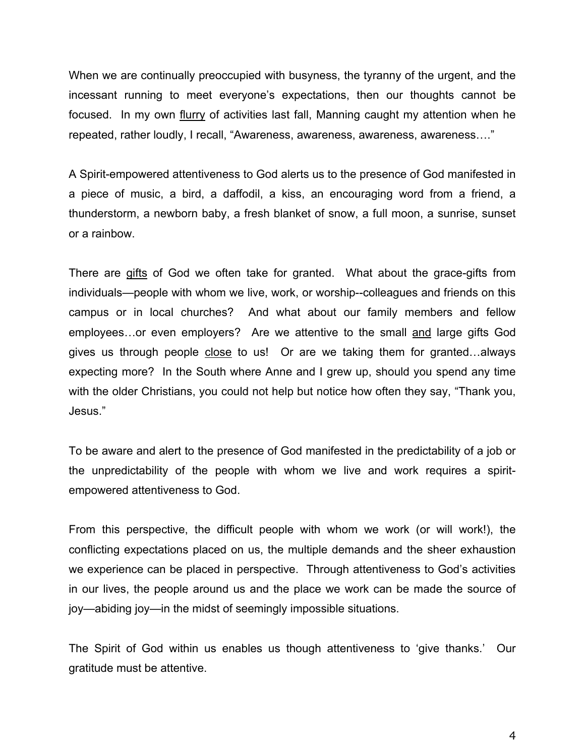When we are continually preoccupied with busyness, the tyranny of the urgent, and the incessant running to meet everyone's expectations, then our thoughts cannot be focused. In my own flurry of activities last fall, Manning caught my attention when he repeated, rather loudly, I recall, "Awareness, awareness, awareness, awareness…."

A Spirit-empowered attentiveness to God alerts us to the presence of God manifested in a piece of music, a bird, a daffodil, a kiss, an encouraging word from a friend, a thunderstorm, a newborn baby, a fresh blanket of snow, a full moon, a sunrise, sunset or a rainbow.

There are gifts of God we often take for granted. What about the grace-gifts from individuals—people with whom we live, work, or worship--colleagues and friends on this campus or in local churches? And what about our family members and fellow employees...or even employers? Are we attentive to the small and large gifts God gives us through people close to us! Or are we taking them for granted...always expecting more? In the South where Anne and I grew up, should you spend any time with the older Christians, you could not help but notice how often they say, "Thank you, Jesus."

To be aware and alert to the presence of God manifested in the predictability of a job or the unpredictability of the people with whom we live and work requires a spiritempowered attentiveness to God.

From this perspective, the difficult people with whom we work (or will work!), the conflicting expectations placed on us, the multiple demands and the sheer exhaustion we experience can be placed in perspective. Through attentiveness to God's activities in our lives, the people around us and the place we work can be made the source of joy—abiding joy—in the midst of seemingly impossible situations.

The Spirit of God within us enables us though attentiveness to 'give thanks.' Our gratitude must be attentive.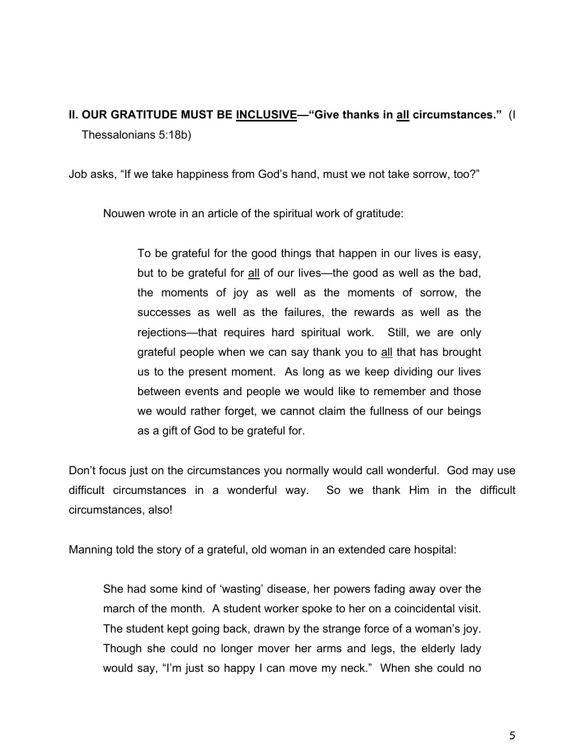## **II. OUR GRATITUDE MUST BE INCLUSIVE—"Give thanks in all circumstances."** (I Thessalonians 5:18b)

Job asks, "If we take happiness from God's hand, must we not take sorrow, too?"

Nouwen wrote in an article of the spiritual work of gratitude:

To be grateful for the good things that happen in our lives is easy, but to be grateful for all of our lives—the good as well as the bad, the moments of joy as well as the moments of sorrow, the successes as well as the failures, the rewards as well as the rejections—that requires hard spiritual work. Still, we are only grateful people when we can say thank you to all that has brought us to the present moment. As long as we keep dividing our lives between events and people we would like to remember and those we would rather forget, we cannot claim the fullness of our beings as a gift of God to be grateful for.

Don't focus just on the circumstances you normally would call wonderful. God may use difficult circumstances in a wonderful way. So we thank Him in the difficult circumstances, also!

Manning told the story of a grateful, old woman in an extended care hospital:

She had some kind of 'wasting' disease, her powers fading away over the march of the month. A student worker spoke to her on a coincidental visit. The student kept going back, drawn by the strange force of a woman's joy. Though she could no longer mover her arms and legs, the elderly lady would say, "I'm just so happy I can move my neck." When she could no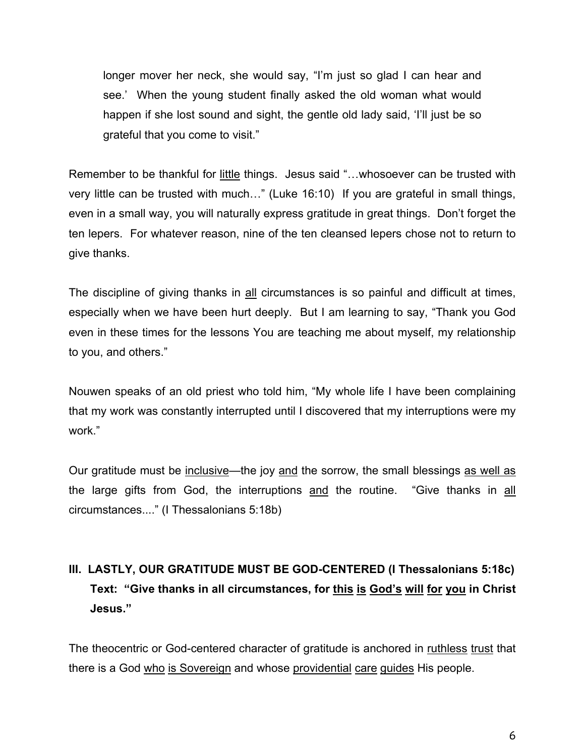longer mover her neck, she would say, "I'm just so glad I can hear and see.' When the young student finally asked the old woman what would happen if she lost sound and sight, the gentle old lady said, 'I'll just be so grateful that you come to visit."

Remember to be thankful for little things. Jesus said "…whosoever can be trusted with very little can be trusted with much…" (Luke 16:10) If you are grateful in small things, even in a small way, you will naturally express gratitude in great things. Don't forget the ten lepers. For whatever reason, nine of the ten cleansed lepers chose not to return to give thanks.

The discipline of giving thanks in all circumstances is so painful and difficult at times, especially when we have been hurt deeply. But I am learning to say, "Thank you God even in these times for the lessons You are teaching me about myself, my relationship to you, and others."

Nouwen speaks of an old priest who told him, "My whole life I have been complaining that my work was constantly interrupted until I discovered that my interruptions were my work."

Our gratitude must be inclusive—the joy and the sorrow, the small blessings as well as the large gifts from God, the interruptions and the routine. "Give thanks in all circumstances...." (I Thessalonians 5:18b)

# **III. LASTLY, OUR GRATITUDE MUST BE GOD-CENTERED (I Thessalonians 5:18c) Text: "Give thanks in all circumstances, for this is God's will for you in Christ Jesus."**

The theocentric or God-centered character of gratitude is anchored in ruthless trust that there is a God who is Sovereign and whose providential care guides His people.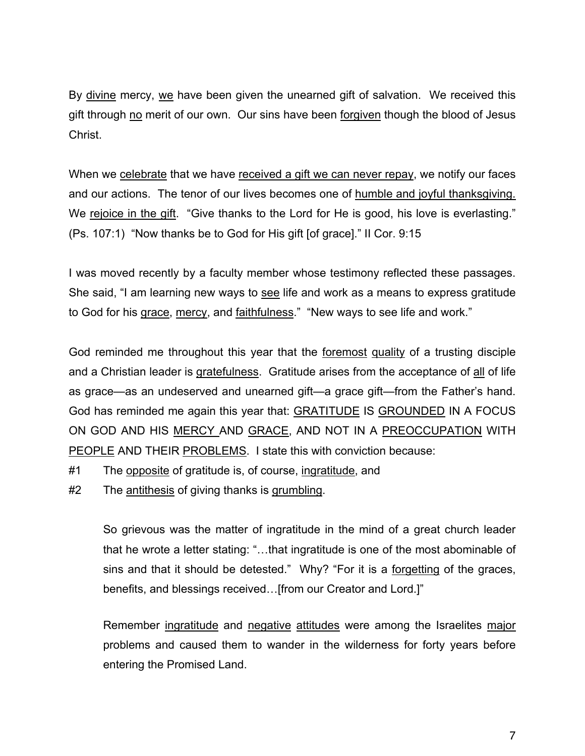By divine mercy, we have been given the unearned gift of salvation. We received this gift through no merit of our own. Our sins have been forgiven though the blood of Jesus Christ.

When we celebrate that we have received a gift we can never repay, we notify our faces and our actions. The tenor of our lives becomes one of humble and joyful thanksgiving. We rejoice in the gift. "Give thanks to the Lord for He is good, his love is everlasting." (Ps. 107:1) "Now thanks be to God for His gift [of grace]." II Cor. 9:15

I was moved recently by a faculty member whose testimony reflected these passages. She said, "I am learning new ways to see life and work as a means to express gratitude to God for his grace, mercy, and faithfulness." "New ways to see life and work."

God reminded me throughout this year that the foremost quality of a trusting disciple and a Christian leader is gratefulness. Gratitude arises from the acceptance of all of life as grace—as an undeserved and unearned gift—a grace gift—from the Father's hand. God has reminded me again this year that: GRATITUDE IS GROUNDED IN A FOCUS ON GOD AND HIS MERCY AND GRACE, AND NOT IN A PREOCCUPATION WITH PEOPLE AND THEIR PROBLEMS. I state this with conviction because:

- #1 The opposite of gratitude is, of course, ingratitude, and
- #2 The antithesis of giving thanks is grumbling.

So grievous was the matter of ingratitude in the mind of a great church leader that he wrote a letter stating: "…that ingratitude is one of the most abominable of sins and that it should be detested." Why? "For it is a forgetting of the graces, benefits, and blessings received... [from our Creator and Lord.]"

Remember ingratitude and negative attitudes were among the Israelites major problems and caused them to wander in the wilderness for forty years before entering the Promised Land.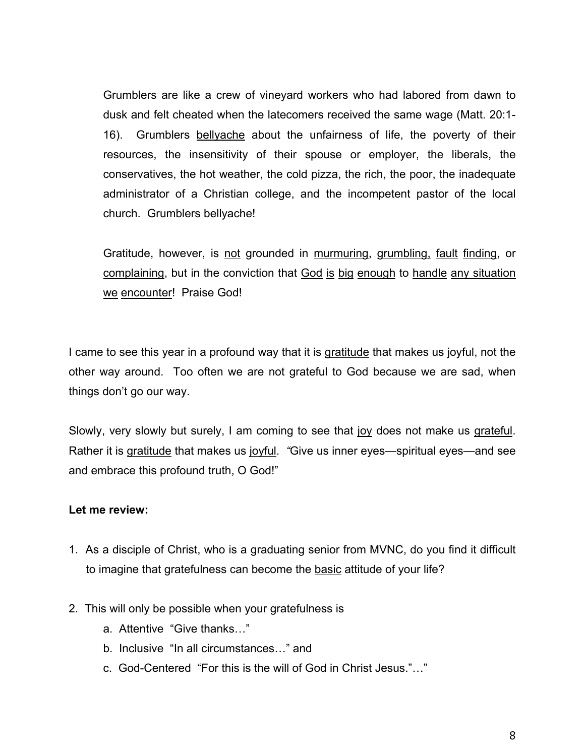Grumblers are like a crew of vineyard workers who had labored from dawn to dusk and felt cheated when the latecomers received the same wage (Matt. 20:1- 16). Grumblers bellyache about the unfairness of life, the poverty of their resources, the insensitivity of their spouse or employer, the liberals, the conservatives, the hot weather, the cold pizza, the rich, the poor, the inadequate administrator of a Christian college, and the incompetent pastor of the local church. Grumblers bellyache!

Gratitude, however, is not grounded in murmuring, grumbling, fault finding, or complaining, but in the conviction that God is big enough to handle any situation we encounter! Praise God!

I came to see this year in a profound way that it is gratitude that makes us joyful, not the other way around. Too often we are not grateful to God because we are sad, when things don't go our way.

Slowly, very slowly but surely, I am coming to see that joy does not make us grateful. Rather it is gratitude that makes us joyful. *"*Give us inner eyes—spiritual eyes—and see and embrace this profound truth, O God!"

### **Let me review:**

- 1. As a disciple of Christ, who is a graduating senior from MVNC, do you find it difficult to imagine that gratefulness can become the basic attitude of your life?
- 2. This will only be possible when your gratefulness is
	- a. Attentive "Give thanks…"
	- b. Inclusive "In all circumstances…" and
	- c. God-Centered "For this is the will of God in Christ Jesus."…"